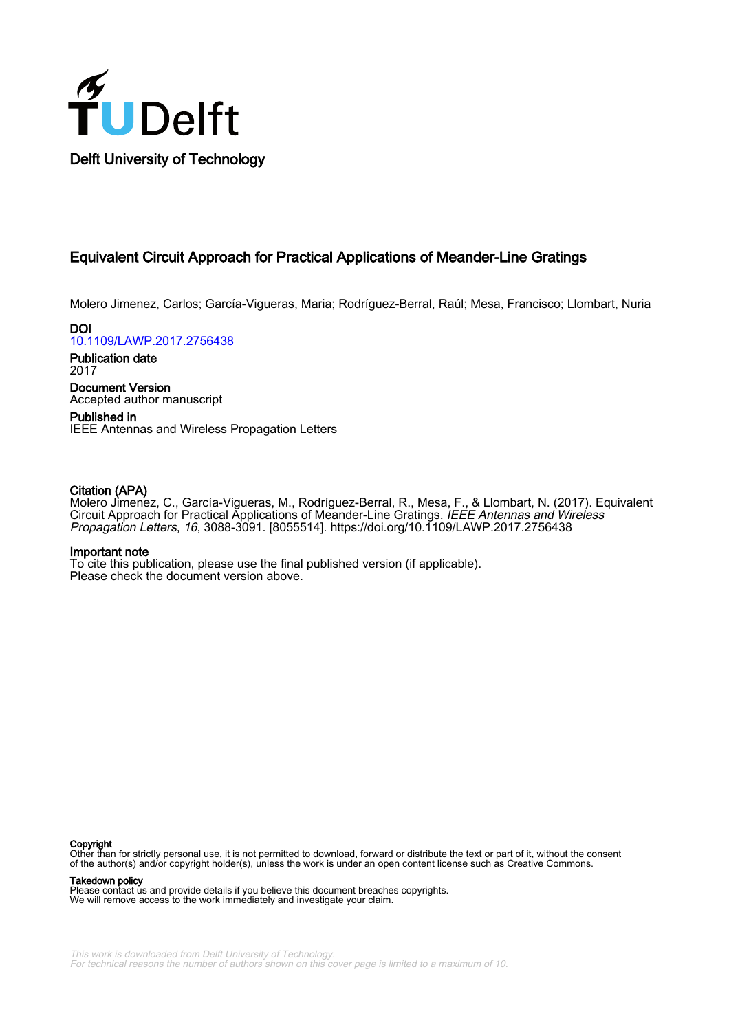

# Equivalent Circuit Approach for Practical Applications of Meander-Line Gratings

Molero Jimenez, Carlos; García-Vigueras, Maria; Rodríguez-Berral, Raúl; Mesa, Francisco; Llombart, Nuria

DOI [10.1109/LAWP.2017.2756438](https://doi.org/10.1109/LAWP.2017.2756438)

Publication date 2017 Document Version

Accepted author manuscript

Published in IEEE Antennas and Wireless Propagation Letters

# Citation (APA)

Molero Jimenez, C., García-Vigueras, M., Rodríguez-Berral, R., Mesa, F., & Llombart, N. (2017). Equivalent Circuit Approach for Practical Applications of Meander-Line Gratings. IEEE Antennas and Wireless Propagation Letters, 16, 3088-3091. [8055514]. <https://doi.org/10.1109/LAWP.2017.2756438>

# Important note

To cite this publication, please use the final published version (if applicable). Please check the document version above.

#### Copyright

Other than for strictly personal use, it is not permitted to download, forward or distribute the text or part of it, without the consent of the author(s) and/or copyright holder(s), unless the work is under an open content license such as Creative Commons.

Takedown policy

Please contact us and provide details if you believe this document breaches copyrights. We will remove access to the work immediately and investigate your claim.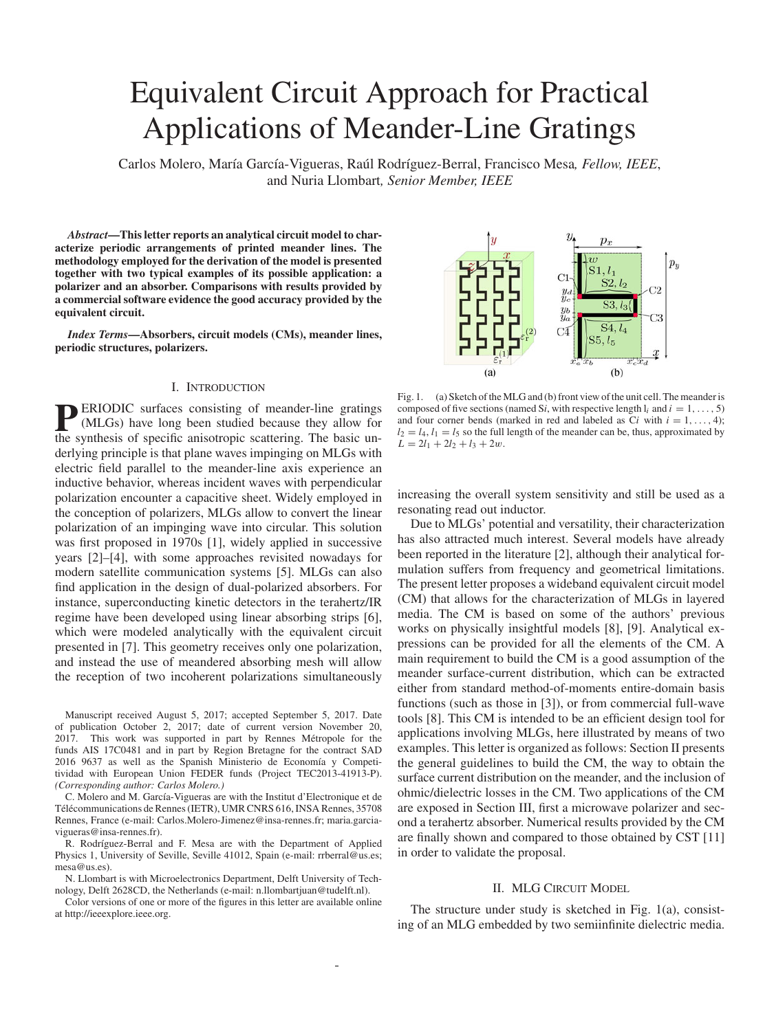# Equivalent Circuit Approach for Practical Applications of Meander-Line Gratings

Carlos Molero, María García-Vigueras, Raúl Rodríguez-Berral, Francisco Mesa, Fellow, IEEE, and Nuria Llombart*, Senior Member, IEEE*

*Abstract***—This letter reports an analytical circuit model to characterize periodic arrangements of printed meander lines. The methodology employed for the derivation of the model is presented together with two typical examples of its possible application: a polarizer and an absorber. Comparisons with results provided by a commercial software evidence the good accuracy provided by the equivalent circuit.**

*Index Terms***—Absorbers, circuit models (CMs), meander lines, periodic structures, polarizers.**

### I. INTRODUCTION

**PERIODIC** surfaces consisting of meander-line gratings (MLGs) have long been studied because they allow for the synthesis of specific anisotropic scattering. The basic underlying principle is that plane waves impinging on MLGs with electric field parallel to the meander-line axis experience an inductive behavior, whereas incident waves with perpendicular polarization encounter a capacitive sheet. Widely employed in the conception of polarizers, MLGs allow to convert the linear polarization of an impinging wave into circular. This solution was first proposed in 1970s [1], widely applied in successive years [2]–[4], with some approaches revisited nowadays for modern satellite communication systems [5]. MLGs can also find application in the design of dual-polarized absorbers. For instance, superconducting kinetic detectors in the terahertz/IR regime have been developed using linear absorbing strips [6], which were modeled analytically with the equivalent circuit presented in [7]. This geometry receives only one polarization, and instead the use of meandered absorbing mesh will allow the reception of two incoherent polarizations simultaneously

Manuscript received August 5, 2017; accepted September 5, 2017. Date of publication October 2, 2017; date of current version November 20, 2017. This work was supported in part by Rennes Metropole for the ´ funds AIS 17C0481 and in part by Region Bretagne for the contract SAD 2016 9637 as well as the Spanish Ministerio de Economía y Competitividad with European Union FEDER funds (Project TEC2013-41913-P). *(Corresponding author: Carlos Molero.)*

C. Molero and M. García-Vigueras are with the Institut d'Electronique et de Télécommunications de Rennes (IETR), UMR CNRS 616, INSA Rennes, 35708 Rennes, France (e-mail: Carlos.Molero-Jimenez@insa-rennes.fr; maria.garciavigueras@insa-rennes.fr).

R. Rodríguez-Berral and F. Mesa are with the Department of Applied Physics 1, University of Seville, Seville 41012, Spain (e-mail: rrberral@us.es; mesa@us.es).

N. Llombart is with Microelectronics Department, Delft University of Technology, Delft 2628CD, the Netherlands (e-mail: n.llombartjuan@tudelft.nl).

Color versions of one or more of the figures in this letter are available online at http://ieeexplore.ieee.org.



Fig. 1. (a) Sketch of the MLG and (b) front view of the unit cell. The meander is composed of five sections (named S*i*, with respective length  $l_i$  and  $i = 1, \ldots, 5$ ) and four corner bends (marked in red and labeled as  $Ci$  with  $i = 1, \ldots, 4$ );  $l_2 = l_4$ ,  $l_1 = l_5$  so the full length of the meander can be, thus, approximated by  $L = 2l_1 + 2l_2 + l_3 + 2w$ .

increasing the overall system sensitivity and still be used as a resonating read out inductor.

Due to MLGs' potential and versatility, their characterization has also attracted much interest. Several models have already been reported in the literature [2], although their analytical formulation suffers from frequency and geometrical limitations. The present letter proposes a wideband equivalent circuit model (CM) that allows for the characterization of MLGs in layered media. The CM is based on some of the authors' previous works on physically insightful models [8], [9]. Analytical expressions can be provided for all the elements of the CM. A main requirement to build the CM is a good assumption of the meander surface-current distribution, which can be extracted either from standard method-of-moments entire-domain basis functions (such as those in [3]), or from commercial full-wave tools [8]. This CM is intended to be an efficient design tool for applications involving MLGs, here illustrated by means of two examples. This letter is organized as follows: Section II presents the general guidelines to build the CM, the way to obtain the surface current distribution on the meander, and the inclusion of ohmic/dielectric losses in the CM. Two applications of the CM are exposed in Section III, first a microwave polarizer and second a terahertz absorber. Numerical results provided by the CM are finally shown and compared to those obtained by CST [11] in order to validate the proposal.

#### II. MLG CIRCUIT MODEL

The structure under study is sketched in Fig. 1(a), consisting of an MLG embedded by two semiinfinite dielectric media.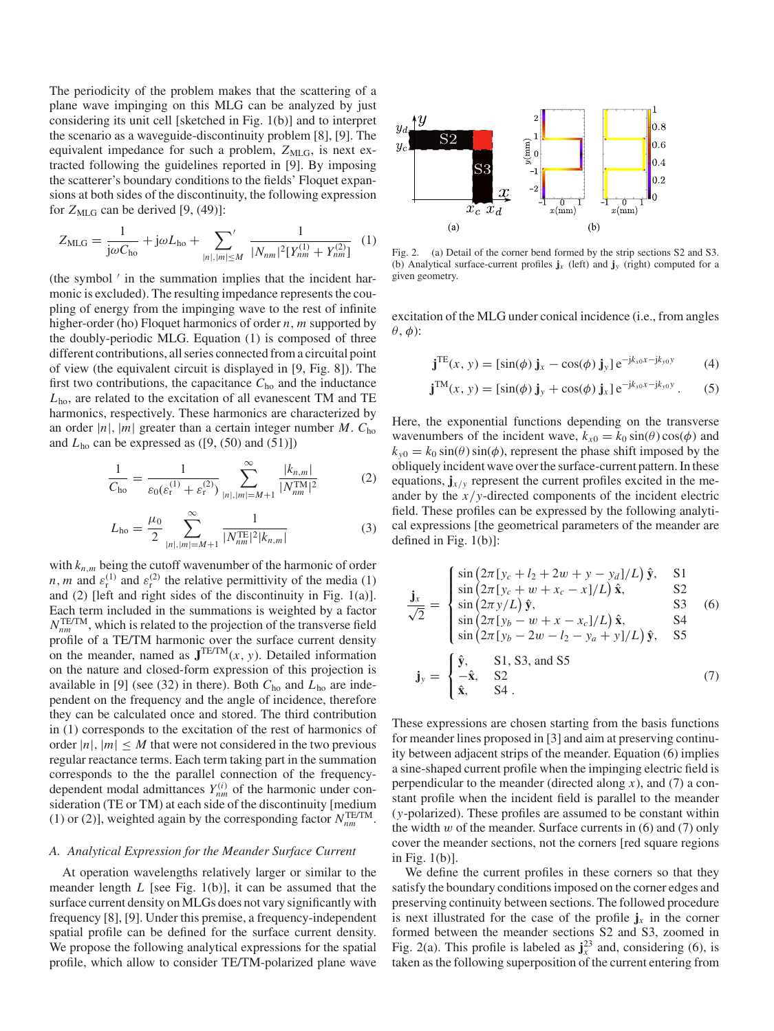The periodicity of the problem makes that the scattering of a plane wave impinging on this MLG can be analyzed by just considering its unit cell [sketched in Fig. 1(b)] and to interpret the scenario as a waveguide-discontinuity problem [8], [9]. The equivalent impedance for such a problem,  $Z_{MLG}$ , is next extracted following the guidelines reported in [9]. By imposing the scatterer's boundary conditions to the fields' Floquet expansions at both sides of the discontinuity, the following expression for  $Z_{MLG}$  can be derived [9, (49)]:

$$
Z_{\rm MLG} = \frac{1}{j\omega C_{\rm ho}} + j\omega L_{\rm ho} + \sum_{|n|, |m| \le M} \frac{1}{|N_{nm}|^2 [Y_{nm}^{(1)} + Y_{nm}^{(2)}]} \tag{1}
$$

(the symbol  $\prime$  in the summation implies that the incident harmonic is excluded). The resulting impedance represents the coupling of energy from the impinging wave to the rest of infinite higher-order (ho) Floquet harmonics of order *n*, *m* supported by the doubly-periodic MLG. Equation (1) is composed of three different contributions, all series connected from a circuital point of view (the equivalent circuit is displayed in [9, Fig. 8]). The first two contributions, the capacitance  $C_{ho}$  and the inductance *L*ho, are related to the excitation of all evanescent TM and TE harmonics, respectively. These harmonics are characterized by an order  $|n|$ ,  $|m|$  greater than a certain integer number *M*.  $C_{ho}$ and  $L_{\text{ho}}$  can be expressed as ([9, (50) and (51)])

$$
\frac{1}{C_{\text{ho}}} = \frac{1}{\varepsilon_0(\varepsilon_r^{(1)} + \varepsilon_r^{(2)})} \sum_{|n|, |m| = M+1}^{\infty} \frac{|k_{n,m}|}{|N_{nm}^{\text{TM}}|^2}
$$
(2)

$$
L_{\text{ho}} = \frac{\mu_0}{2} \sum_{|n|, |m| = M+1}^{\infty} \frac{1}{|N_{nm}^{\text{TE}}|^2 |k_{n,m}|}
$$
(3)

with  $k_{n,m}$  being the cutoff wavenumber of the harmonic of order *n*, *m* and  $\varepsilon_r^{(1)}$  and  $\varepsilon_r^{(2)}$  the relative permittivity of the media (1) and (2) [left and right sides of the discontinuity in Fig. 1(a)]. Each term included in the summations is weighted by a factor  $N_{nm}^{\text{TE/TM}}$ , which is related to the projection of the transverse field profile of a TE/TM harmonic over the surface current density on the meander, named as  $J^{TE/TM}(x, y)$ . Detailed information on the nature and closed-form expression of this projection is available in [9] (see (32) in there). Both *C*ho and *L*ho are independent on the frequency and the angle of incidence, therefore they can be calculated once and stored. The third contribution in (1) corresponds to the excitation of the rest of harmonics of order  $|n|, |m| \leq M$  that were not considered in the two previous regular reactance terms. Each term taking part in the summation corresponds to the the parallel connection of the frequencydependent modal admittances  $Y_{nm}^{(i)}$  of the harmonic under consideration (TE or TM) at each side of the discontinuity [medium (1) or (2)], weighted again by the corresponding factor  $N_{nm}^{\text{TE/TM}}$ .

#### *A. Analytical Expression for the Meander Surface Current*

At operation wavelengths relatively larger or similar to the meander length *L* [see Fig. 1(b)], it can be assumed that the surface current density on MLGs does not vary significantly with frequency [8], [9]. Under this premise, a frequency-independent spatial profile can be defined for the surface current density. We propose the following analytical expressions for the spatial profile, which allow to consider TE/TM-polarized plane wave



Fig. 2. (a) Detail of the corner bend formed by the strip sections S2 and S3. (b) Analytical surface-current profiles  $\mathbf{j}_x$  (left) and  $\mathbf{j}_y$  (right) computed for a given geometry.

excitation of the MLG under conical incidence (i.e., from angles  $\theta$ ,  $\phi$ ):

$$
\mathbf{j}^{TE}(x, y) = \left[\sin(\phi) \mathbf{j}_x - \cos(\phi) \mathbf{j}_y\right] e^{-j k_{x0} x - j k_{y0} y} \tag{4}
$$

$$
\mathbf{j}^{TM}(x, y) = [\sin(\phi) \mathbf{j}_y + \cos(\phi) \mathbf{j}_x] e^{-j k_x \alpha x - j k_y \alpha y}.
$$
 (5)

Here, the exponential functions depending on the transverse wavenumbers of the incident wave,  $k_{x0} = k_0 \sin(\theta) \cos(\phi)$  and  $k_{y0} = k_0 \sin(\theta) \sin(\phi)$ , represent the phase shift imposed by the obliquely incident wave over the surface-current pattern. In these equations,  $\mathbf{j}_{x/y}$  represent the current profiles excited in the meander by the *x*/*y*-directed components of the incident electric field. These profiles can be expressed by the following analytical expressions [the geometrical parameters of the meander are defined in Fig. 1(b)]:

$$
\frac{\mathbf{j}_x}{\sqrt{2}} = \begin{cases}\n\sin(2\pi [y_c + l_2 + 2w + y - y_d]/L) \,\hat{\mathbf{y}}, & \text{S1} \\
\sin(2\pi [y_c + w + x_c - x]/L) \,\hat{\mathbf{x}}, & \text{S2} \\
\sin(2\pi y/L) \,\hat{\mathbf{y}}, & \text{S3} \\
\sin(2\pi [y_b - w + x - x_c]/L) \,\hat{\mathbf{x}}, & \text{S4} \\
\sin(2\pi [y_b - 2w - l_2 - y_a + y]/L) \,\hat{\mathbf{y}}, & \text{S5}\n\end{cases}
$$

$$
\mathbf{j}_y = \begin{cases} \hat{\mathbf{y}}, & \text{S1, S3, and S5} \\ -\hat{\mathbf{x}}, & \text{S2} \\ \hat{\mathbf{x}}, & \text{S4} \end{cases}
$$
 (7)

These expressions are chosen starting from the basis functions for meander lines proposed in [3] and aim at preserving continuity between adjacent strips of the meander. Equation (6) implies a sine-shaped current profile when the impinging electric field is perpendicular to the meander (directed along  $x$ ), and (7) a constant profile when the incident field is parallel to the meander (*y*-polarized). These profiles are assumed to be constant within the width  $w$  of the meander. Surface currents in  $(6)$  and  $(7)$  only cover the meander sections, not the corners [red square regions in Fig. 1(b)].

We define the current profiles in these corners so that they satisfy the boundary conditions imposed on the corner edges and preserving continuity between sections. The followed procedure is next illustrated for the case of the profile  $\mathbf{j}_x$  in the corner formed between the meander sections S2 and S3, zoomed in Fig. 2(a). This profile is labeled as  $\mathbf{j}_x^{23}$  and, considering (6), is taken as the following superposition of the current entering from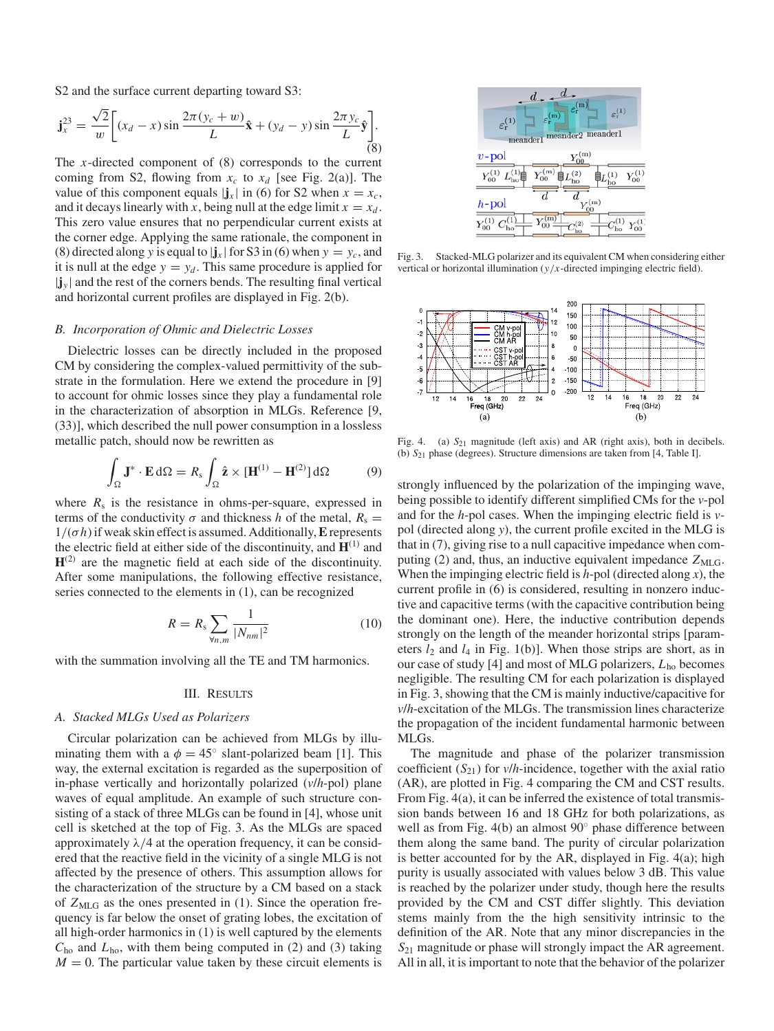S2 and the surface current departing toward S3:

$$
\mathbf{j}_{x}^{23} = \frac{\sqrt{2}}{w} \bigg[ (x_{d} - x) \sin \frac{2\pi (y_{c} + w)}{L} \hat{\mathbf{x}} + (y_{d} - y) \sin \frac{2\pi y_{c}}{L} \hat{\mathbf{y}} \bigg].
$$
 (8)

The *x*-directed component of (8) corresponds to the current coming from S2, flowing from  $x_c$  to  $x_d$  [see Fig. 2(a)]. The value of this component equals  $|\mathbf{j}_x|$  in (6) for S2 when  $x = x_c$ , and it decays linearly with *x*, being null at the edge limit  $x = x_d$ . This zero value ensures that no perpendicular current exists at the corner edge. Applying the same rationale, the component in (8) directed along *y* is equal to  $|\mathbf{j}_x|$  for S3 in (6) when  $y = y_c$ , and it is null at the edge  $y = y_d$ . This same procedure is applied for  $|\mathbf{j}_v|$  and the rest of the corners bends. The resulting final vertical and horizontal current profiles are displayed in Fig. 2(b).

## *B. Incorporation of Ohmic and Dielectric Losses*

Dielectric losses can be directly included in the proposed CM by considering the complex-valued permittivity of the substrate in the formulation. Here we extend the procedure in [9] to account for ohmic losses since they play a fundamental role in the characterization of absorption in MLGs. Reference [9, (33)], which described the null power consumption in a lossless metallic patch, should now be rewritten as

$$
\int_{\Omega} \mathbf{J}^* \cdot \mathbf{E} \, d\Omega = R_s \int_{\Omega} \hat{\mathbf{z}} \times [\mathbf{H}^{(1)} - \mathbf{H}^{(2)}] \, d\Omega \tag{9}
$$

where  $R_s$  is the resistance in ohms-per-square, expressed in terms of the conductivity  $\sigma$  and thickness *h* of the metal,  $R_s =$  $1/(\sigma h)$  if weak skin effect is assumed. Additionally, **E** represents the electric field at either side of the discontinuity, and  $H^{(1)}$  and  $H^{(2)}$  are the magnetic field at each side of the discontinuity. After some manipulations, the following effective resistance, series connected to the elements in (1), can be recognized

$$
R = R_s \sum_{\forall n,m} \frac{1}{|N_{nm}|^2}
$$
 (10)

with the summation involving all the TE and TM harmonics.

#### III. RESULTS

#### *A. Stacked MLGs Used as Polarizers*

Circular polarization can be achieved from MLGs by illuminating them with a  $\phi = 45^{\circ}$  slant-polarized beam [1]. This way, the external excitation is regarded as the superposition of in-phase vertically and horizontally polarized (*v*/*h*-pol) plane waves of equal amplitude. An example of such structure consisting of a stack of three MLGs can be found in [4], whose unit cell is sketched at the top of Fig. 3. As the MLGs are spaced approximately  $\lambda/4$  at the operation frequency, it can be considered that the reactive field in the vicinity of a single MLG is not affected by the presence of others. This assumption allows for the characterization of the structure by a CM based on a stack of  $Z_{MLG}$  as the ones presented in (1). Since the operation frequency is far below the onset of grating lobes, the excitation of all high-order harmonics in (1) is well captured by the elements *C*ho and *L*ho, with them being computed in (2) and (3) taking  $M = 0$ . The particular value taken by these circuit elements is



Fig. 3. Stacked-MLG polarizer and its equivalent CM when considering either vertical or horizontal illumination (*y*/*x*-directed impinging electric field).



Fig. 4. (a)  $S_{21}$  magnitude (left axis) and AR (right axis), both in decibels. (b) *S*<sup>21</sup> phase (degrees). Structure dimensions are taken from [4, Table I].

strongly influenced by the polarization of the impinging wave, being possible to identify different simplified CMs for the *v*-pol and for the *h*-pol cases. When the impinging electric field is *v*pol (directed along *y*), the current profile excited in the MLG is that in (7), giving rise to a null capacitive impedance when computing (2) and, thus, an inductive equivalent impedance  $Z_{MLG}$ . When the impinging electric field is *h*-pol (directed along *x*), the current profile in (6) is considered, resulting in nonzero inductive and capacitive terms (with the capacitive contribution being the dominant one). Here, the inductive contribution depends strongly on the length of the meander horizontal strips [parameters  $l_2$  and  $l_4$  in Fig. 1(b)]. When those strips are short, as in our case of study [4] and most of MLG polarizers, *L*ho becomes negligible. The resulting CM for each polarization is displayed in Fig. 3, showing that the CM is mainly inductive/capacitive for *v*/*h*-excitation of the MLGs. The transmission lines characterize the propagation of the incident fundamental harmonic between MLGs.

The magnitude and phase of the polarizer transmission coefficient  $(S_{21})$  for *v*/*h*-incidence, together with the axial ratio (AR), are plotted in Fig. 4 comparing the CM and CST results. From Fig. 4(a), it can be inferred the existence of total transmission bands between 16 and 18 GHz for both polarizations, as well as from Fig. 4(b) an almost 90◦ phase difference between them along the same band. The purity of circular polarization is better accounted for by the AR, displayed in Fig. 4(a); high purity is usually associated with values below 3 dB. This value is reached by the polarizer under study, though here the results provided by the CM and CST differ slightly. This deviation stems mainly from the the high sensitivity intrinsic to the definition of the AR. Note that any minor discrepancies in the *S*<sub>21</sub> magnitude or phase will strongly impact the AR agreement. All in all, it is important to note that the behavior of the polarizer